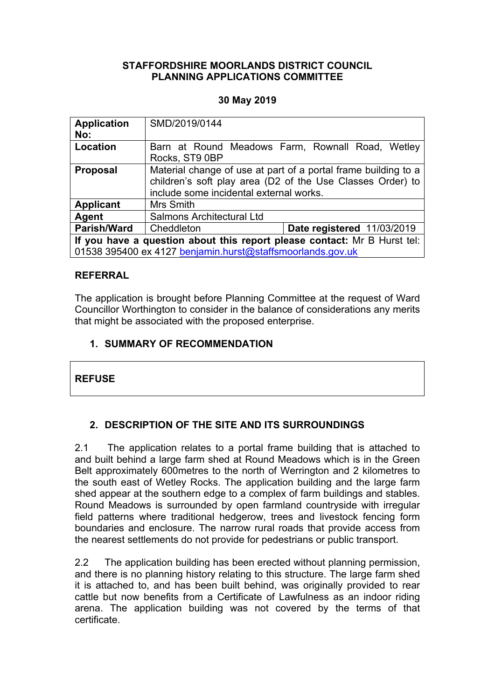### **STAFFORDSHIRE MOORLANDS DISTRICT COUNCIL PLANNING APPLICATIONS COMMITTEE**

## **30 May 2019**

| <b>Application</b><br>No:                                                | SMD/2019/0144                                                                                                                                                           |                                                  |
|--------------------------------------------------------------------------|-------------------------------------------------------------------------------------------------------------------------------------------------------------------------|--------------------------------------------------|
| Location                                                                 | Rocks, ST9 0BP                                                                                                                                                          | Barn at Round Meadows Farm, Rownall Road, Wetley |
| <b>Proposal</b>                                                          | Material change of use at part of a portal frame building to a<br>children's soft play area (D2 of the Use Classes Order) to<br>include some incidental external works. |                                                  |
| <b>Applicant</b>                                                         | Mrs Smith                                                                                                                                                               |                                                  |
| Agent                                                                    | Salmons Architectural Ltd                                                                                                                                               |                                                  |
| <b>Parish/Ward</b>                                                       | Cheddleton                                                                                                                                                              | Date registered 11/03/2019                       |
| If you have a question about this report please contact: Mr B Hurst tel: |                                                                                                                                                                         |                                                  |
| 01538 395400 ex 4127 benjamin.hurst@staffsmoorlands.gov.uk               |                                                                                                                                                                         |                                                  |

## **REFERRAL**

The application is brought before Planning Committee at the request of Ward Councillor Worthington to consider in the balance of considerations any merits that might be associated with the proposed enterprise.

## **1. SUMMARY OF RECOMMENDATION**

## **REFUSE**

# **2. DESCRIPTION OF THE SITE AND ITS SURROUNDINGS**

2.1 The application relates to a portal frame building that is attached to and built behind a large farm shed at Round Meadows which is in the Green Belt approximately 600metres to the north of Werrington and 2 kilometres to the south east of Wetley Rocks. The application building and the large farm shed appear at the southern edge to a complex of farm buildings and stables. Round Meadows is surrounded by open farmland countryside with irregular field patterns where traditional hedgerow, trees and livestock fencing form boundaries and enclosure. The narrow rural roads that provide access from the nearest settlements do not provide for pedestrians or public transport.

2.2 The application building has been erected without planning permission, and there is no planning history relating to this structure. The large farm shed it is attached to, and has been built behind, was originally provided to rear cattle but now benefits from a Certificate of Lawfulness as an indoor riding arena. The application building was not covered by the terms of that certificate.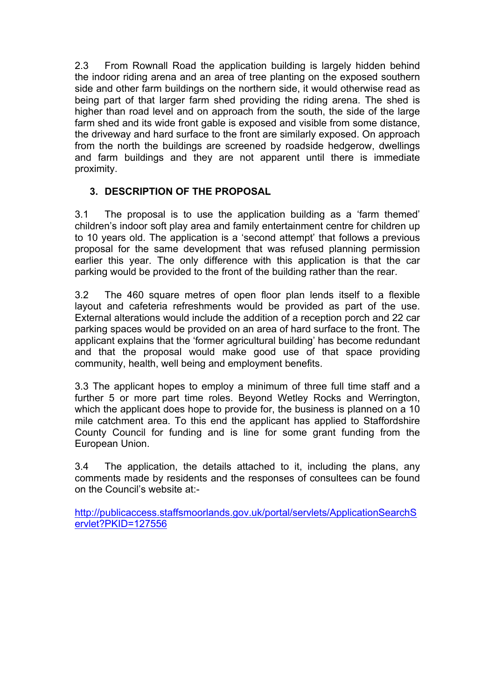2.3 From Rownall Road the application building is largely hidden behind the indoor riding arena and an area of tree planting on the exposed southern side and other farm buildings on the northern side, it would otherwise read as being part of that larger farm shed providing the riding arena. The shed is higher than road level and on approach from the south, the side of the large farm shed and its wide front gable is exposed and visible from some distance, the driveway and hard surface to the front are similarly exposed. On approach from the north the buildings are screened by roadside hedgerow, dwellings and farm buildings and they are not apparent until there is immediate proximity.

## **3. DESCRIPTION OF THE PROPOSAL**

3.1 The proposal is to use the application building as a 'farm themed' children's indoor soft play area and family entertainment centre for children up to 10 years old. The application is a 'second attempt' that follows a previous proposal for the same development that was refused planning permission earlier this year. The only difference with this application is that the car parking would be provided to the front of the building rather than the rear.

3.2 The 460 square metres of open floor plan lends itself to a flexible layout and cafeteria refreshments would be provided as part of the use. External alterations would include the addition of a reception porch and 22 car parking spaces would be provided on an area of hard surface to the front. The applicant explains that the 'former agricultural building' has become redundant and that the proposal would make good use of that space providing community, health, well being and employment benefits.

3.3 The applicant hopes to employ a minimum of three full time staff and a further 5 or more part time roles. Beyond Wetley Rocks and Werrington, which the applicant does hope to provide for, the business is planned on a 10 mile catchment area. To this end the applicant has applied to Staffordshire County Council for funding and is line for some grant funding from the European Union.

3.4 The application, the details attached to it, including the plans, any comments made by residents and the responses of consultees can be found on the Council's website at:-

[http://publicaccess.staffsmoorlands.gov.uk/portal/servlets/ApplicationSearchS](http://publicaccess.staffsmoorlands.gov.uk/portal/servlets/ApplicationSearchServlet?PKID=127556) [ervlet?PKID=127556](http://publicaccess.staffsmoorlands.gov.uk/portal/servlets/ApplicationSearchServlet?PKID=127556)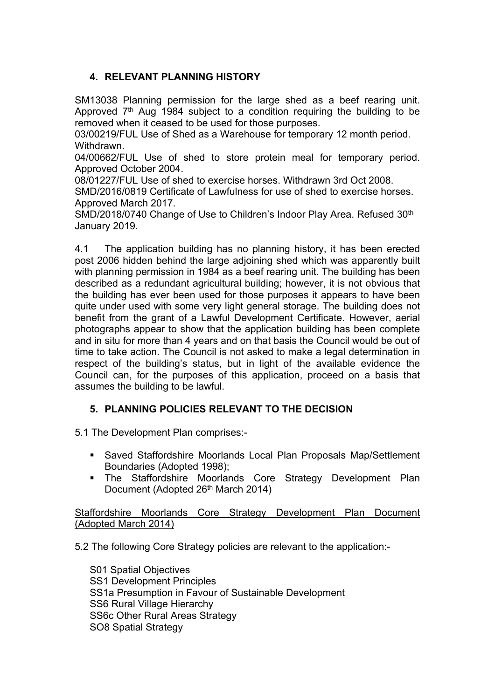## **4. RELEVANT PLANNING HISTORY**

SM13038 Planning permission for the large shed as a beef rearing unit. Approved 7<sup>th</sup> Aug 1984 subject to a condition requiring the building to be removed when it ceased to be used for those purposes.

03/00219/FUL Use of Shed as a Warehouse for temporary 12 month period. Withdrawn.

04/00662/FUL Use of shed to store protein meal for temporary period. Approved October 2004.

08/01227/FUL Use of shed to exercise horses. Withdrawn 3rd Oct 2008.

SMD/2016/0819 Certificate of Lawfulness for use of shed to exercise horses. Approved March 2017.

SMD/2018/0740 Change of Use to Children's Indoor Play Area. Refused 30<sup>th</sup> January 2019.

4.1 The application building has no planning history, it has been erected post 2006 hidden behind the large adjoining shed which was apparently built with planning permission in 1984 as a beef rearing unit. The building has been described as a redundant agricultural building; however, it is not obvious that the building has ever been used for those purposes it appears to have been quite under used with some very light general storage. The building does not benefit from the grant of a Lawful Development Certificate. However, aerial photographs appear to show that the application building has been complete and in situ for more than 4 years and on that basis the Council would be out of time to take action. The Council is not asked to make a legal determination in respect of the building's status, but in light of the available evidence the Council can, for the purposes of this application, proceed on a basis that assumes the building to be lawful.

## **5. PLANNING POLICIES RELEVANT TO THE DECISION**

5.1 The Development Plan comprises:-

- Saved Staffordshire Moorlands Local Plan Proposals Map/Settlement Boundaries (Adopted 1998);
- The Staffordshire Moorlands Core Strategy Development Plan Document (Adopted 26<sup>th</sup> March 2014)

Staffordshire Moorlands Core Strategy Development Plan Document (Adopted March 2014)

5.2 The following Core Strategy policies are relevant to the application:-

S01 Spatial Objectives SS1 Development Principles SS1a Presumption in Favour of Sustainable Development SS6 Rural Village Hierarchy SS6c Other Rural Areas Strategy SO8 Spatial Strategy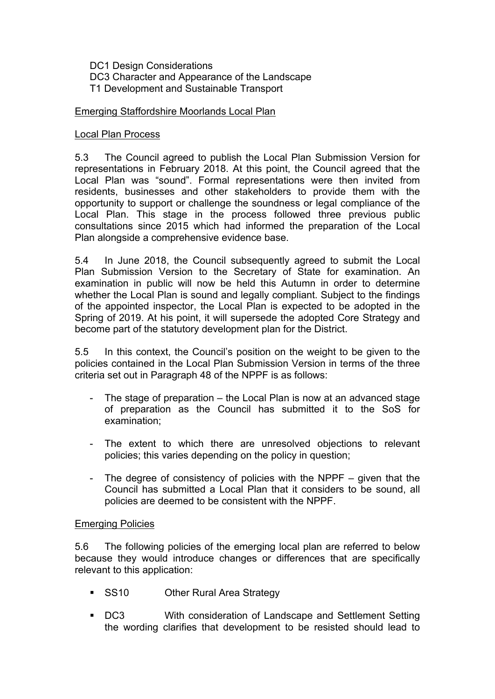DC1 Design Considerations DC3 Character and Appearance of the Landscape T1 Development and Sustainable Transport

### Emerging Staffordshire Moorlands Local Plan

#### Local Plan Process

5.3 The Council agreed to publish the Local Plan Submission Version for representations in February 2018. At this point, the Council agreed that the Local Plan was "sound". Formal representations were then invited from residents, businesses and other stakeholders to provide them with the opportunity to support or challenge the soundness or legal compliance of the Local Plan. This stage in the process followed three previous public consultations since 2015 which had informed the preparation of the Local Plan alongside a comprehensive evidence base.

5.4 In June 2018, the Council subsequently agreed to submit the Local Plan Submission Version to the Secretary of State for examination. An examination in public will now be held this Autumn in order to determine whether the Local Plan is sound and legally compliant. Subject to the findings of the appointed inspector, the Local Plan is expected to be adopted in the Spring of 2019. At his point, it will supersede the adopted Core Strategy and become part of the statutory development plan for the District.

5.5 In this context, the Council's position on the weight to be given to the policies contained in the Local Plan Submission Version in terms of the three criteria set out in Paragraph 48 of the NPPF is as follows:

- The stage of preparation the Local Plan is now at an advanced stage of preparation as the Council has submitted it to the SoS for examination;
- The extent to which there are unresolved objections to relevant policies; this varies depending on the policy in question;
- The degree of consistency of policies with the NPPF given that the Council has submitted a Local Plan that it considers to be sound, all policies are deemed to be consistent with the NPPF.

#### Emerging Policies

5.6 The following policies of the emerging local plan are referred to below because they would introduce changes or differences that are specifically relevant to this application:

- SS10 Other Rural Area Strategy
- DC3 With consideration of Landscape and Settlement Setting the wording clarifies that development to be resisted should lead to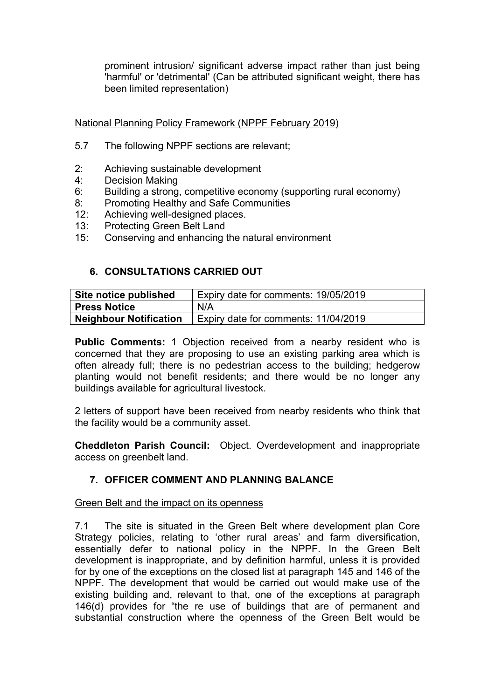prominent intrusion/ significant adverse impact rather than just being 'harmful' or 'detrimental' (Can be attributed significant weight, there has been limited representation)

National Planning Policy Framework (NPPF February 2019)

- 5.7 The following NPPF sections are relevant;
- 2: Achieving sustainable development
- 4: Decision Making
- 6: Building a strong, competitive economy (supporting rural economy)
- 8: Promoting Healthy and Safe Communities
- 12: Achieving well-designed places.
- 13: Protecting Green Belt Land
- 15: Conserving and enhancing the natural environment

## **6. CONSULTATIONS CARRIED OUT**

| Site notice published         | Expiry date for comments: 19/05/2019 |
|-------------------------------|--------------------------------------|
| <b>Press Notice</b>           | N/A                                  |
| <b>Neighbour Notification</b> | Expiry date for comments: 11/04/2019 |

**Public Comments:** 1 Objection received from a nearby resident who is concerned that they are proposing to use an existing parking area which is often already full; there is no pedestrian access to the building; hedgerow planting would not benefit residents; and there would be no longer any buildings available for agricultural livestock.

2 letters of support have been received from nearby residents who think that the facility would be a community asset.

**Cheddleton Parish Council:** Object. Overdevelopment and inappropriate access on greenbelt land.

## **7. OFFICER COMMENT AND PLANNING BALANCE**

### Green Belt and the impact on its openness

7.1 The site is situated in the Green Belt where development plan Core Strategy policies, relating to 'other rural areas' and farm diversification, essentially defer to national policy in the NPPF. In the Green Belt development is inappropriate, and by definition harmful, unless it is provided for by one of the exceptions on the closed list at paragraph 145 and 146 of the NPPF. The development that would be carried out would make use of the existing building and, relevant to that, one of the exceptions at paragraph 146(d) provides for "the re use of buildings that are of permanent and substantial construction where the openness of the Green Belt would be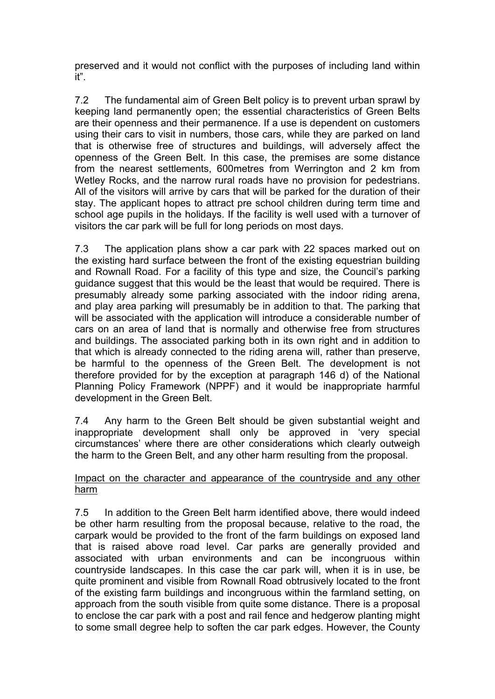preserved and it would not conflict with the purposes of including land within it".

7.2 The fundamental aim of Green Belt policy is to prevent urban sprawl by keeping land permanently open; the essential characteristics of Green Belts are their openness and their permanence. If a use is dependent on customers using their cars to visit in numbers, those cars, while they are parked on land that is otherwise free of structures and buildings, will adversely affect the openness of the Green Belt. In this case, the premises are some distance from the nearest settlements, 600metres from Werrington and 2 km from Wetley Rocks, and the narrow rural roads have no provision for pedestrians. All of the visitors will arrive by cars that will be parked for the duration of their stay. The applicant hopes to attract pre school children during term time and school age pupils in the holidays. If the facility is well used with a turnover of visitors the car park will be full for long periods on most days.

7.3 The application plans show a car park with 22 spaces marked out on the existing hard surface between the front of the existing equestrian building and Rownall Road. For a facility of this type and size, the Council's parking guidance suggest that this would be the least that would be required. There is presumably already some parking associated with the indoor riding arena, and play area parking will presumably be in addition to that. The parking that will be associated with the application will introduce a considerable number of cars on an area of land that is normally and otherwise free from structures and buildings. The associated parking both in its own right and in addition to that which is already connected to the riding arena will, rather than preserve, be harmful to the openness of the Green Belt. The development is not therefore provided for by the exception at paragraph 146 d) of the National Planning Policy Framework (NPPF) and it would be inappropriate harmful development in the Green Belt.

7.4 Any harm to the Green Belt should be given substantial weight and inappropriate development shall only be approved in 'very special circumstances' where there are other considerations which clearly outweigh the harm to the Green Belt, and any other harm resulting from the proposal.

## Impact on the character and appearance of the countryside and any other harm

7.5 In addition to the Green Belt harm identified above, there would indeed be other harm resulting from the proposal because, relative to the road, the carpark would be provided to the front of the farm buildings on exposed land that is raised above road level. Car parks are generally provided and associated with urban environments and can be incongruous within countryside landscapes. In this case the car park will, when it is in use, be quite prominent and visible from Rownall Road obtrusively located to the front of the existing farm buildings and incongruous within the farmland setting, on approach from the south visible from quite some distance. There is a proposal to enclose the car park with a post and rail fence and hedgerow planting might to some small degree help to soften the car park edges. However, the County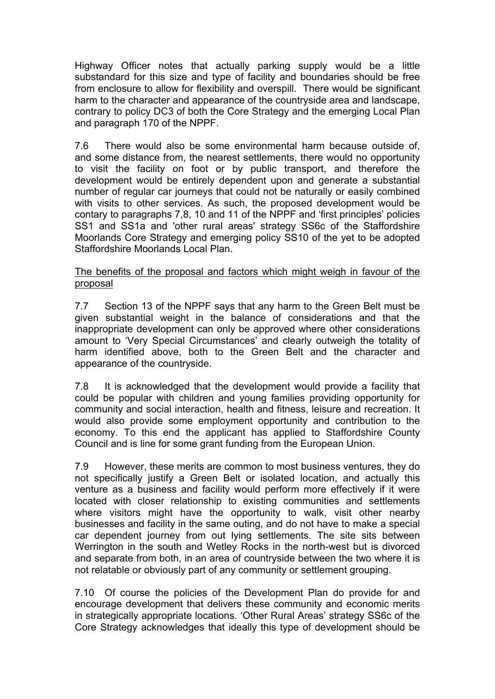Highway Officer notes that actually parking supply would be a little substandard for this size and type of facility and boundaries should be free from enclosure to allow for flexibility and overspill. There would be significant harm to the character and appearance of the countryside area and landscape, contrary to policy DC3 of both the Core Strategy and the emerging Local Plan and paragraph 170 of the NPPF.

7.6 There would also be some environmental harm because outside of, and some distance from, the nearest settlements, there would no opportunity to visit the facility on foot or by public transport, and therefore the development would be entirely dependent upon and generate a substantial number of regular car journeys that could not be naturally or easily combined with visits to other services. As such, the proposed development would be contary to paragraphs 7,8, 10 and 11 of the NPPF and 'first principles' policies SS1 and SS1a and 'other rural areas' strategy SS6c of the Staffordshire Moorlands Core Strategy and emerging policy SS10 of the yet to be adopted Staffordshire Moorlands Local Plan.

### The benefits of the proposal and factors which might weigh in favour of the proposal

7.7 Section 13 of the NPPF says that any harm to the Green Belt must be given substantial weight in the balance of considerations and that the inappropriate development can only be approved where other considerations amount to 'Very Special Circumstances' and clearly outweigh the totality of harm identified above, both to the Green Belt and the character and appearance of the countryside.

7.8 It is acknowledged that the development would provide a facility that could be popular with children and young families providing opportunity for community and social interaction, health and fitness, leisure and recreation. It would also provide some employment opportunity and contribution to the economy. To this end the applicant has applied to Staffordshire County Council and is line for some grant funding from the European Union.

7.9 However, these merits are common to most business ventures, they do not specifically justify a Green Belt or isolated location, and actually this venture as a business and facility would perform more effectively if it were located with closer relationship to existing communities and settlements where visitors might have the opportunity to walk, visit other nearby businesses and facility in the same outing, and do not have to make a special car dependent journey from out lying settlements. The site sits between Werrington in the south and Wetley Rocks in the north-west but is divorced and separate from both, in an area of countryside between the two where it is not relatable or obviously part of any community or settlement grouping.

7.10 Of course the policies of the Development Plan do provide for and encourage development that delivers these community and economic merits in strategically appropriate locations. 'Other Rural Areas' strategy SS6c of the Core Strategy acknowledges that ideally this type of development should be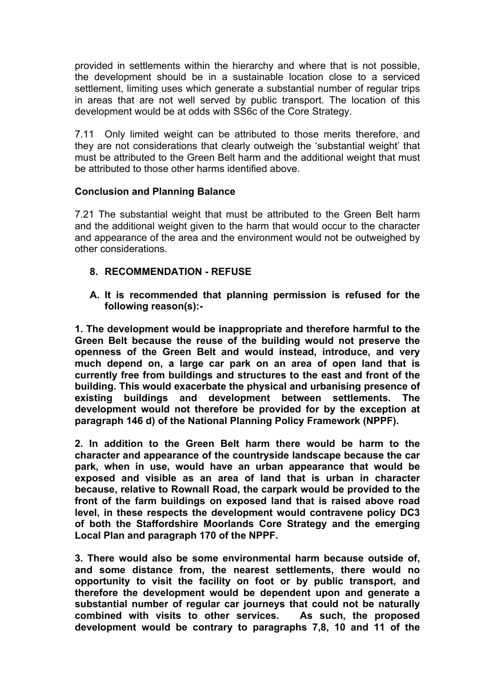provided in settlements within the hierarchy and where that is not possible, the development should be in a sustainable location close to a serviced settlement, limiting uses which generate a substantial number of regular trips in areas that are not well served by public transport. The location of this development would be at odds with SS6c of the Core Strategy.

7.11 Only limited weight can be attributed to those merits therefore, and they are not considerations that clearly outweigh the 'substantial weight' that must be attributed to the Green Belt harm and the additional weight that must be attributed to those other harms identified above.

## **Conclusion and Planning Balance**

7.21 The substantial weight that must be attributed to the Green Belt harm and the additional weight given to the harm that would occur to the character and appearance of the area and the environment would not be outweighed by other considerations.

- **8. RECOMMENDATION - REFUSE**
- **A. It is recommended that planning permission is refused for the following reason(s):-**

**1. The development would be inappropriate and therefore harmful to the Green Belt because the reuse of the building would not preserve the openness of the Green Belt and would instead, introduce, and very much depend on, a large car park on an area of open land that is currently free from buildings and structures to the east and front of the building. This would exacerbate the physical and urbanising presence of existing buildings and development between settlements. The development would not therefore be provided for by the exception at paragraph 146 d) of the National Planning Policy Framework (NPPF).**

**2. In addition to the Green Belt harm there would be harm to the character and appearance of the countryside landscape because the car park, when in use, would have an urban appearance that would be exposed and visible as an area of land that is urban in character because, relative to Rownall Road, the carpark would be provided to the front of the farm buildings on exposed land that is raised above road level, in these respects the development would contravene policy DC3 of both the Staffordshire Moorlands Core Strategy and the emerging Local Plan and paragraph 170 of the NPPF.**

**3. There would also be some environmental harm because outside of, and some distance from, the nearest settlements, there would no opportunity to visit the facility on foot or by public transport, and therefore the development would be dependent upon and generate a substantial number of regular car journeys that could not be naturally combined with visits to other services. As such, the proposed development would be contrary to paragraphs 7,8, 10 and 11 of the**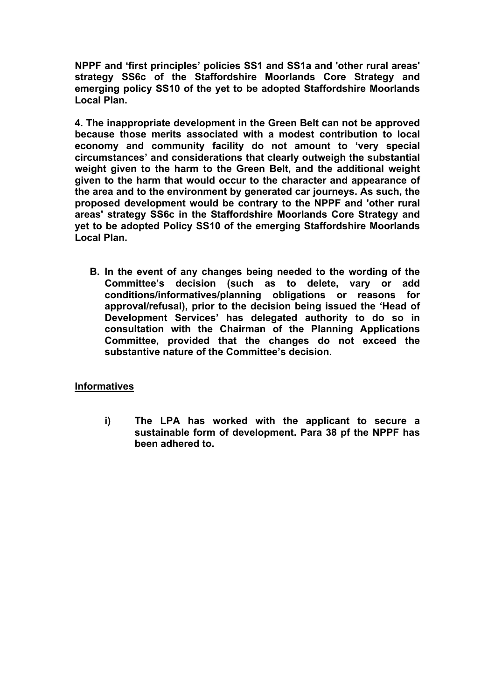**NPPF and 'first principles' policies SS1 and SS1a and 'other rural areas' strategy SS6c of the Staffordshire Moorlands Core Strategy and emerging policy SS10 of the yet to be adopted Staffordshire Moorlands Local Plan.**

**4. The inappropriate development in the Green Belt can not be approved because those merits associated with a modest contribution to local economy and community facility do not amount to 'very special circumstances' and considerations that clearly outweigh the substantial weight given to the harm to the Green Belt, and the additional weight given to the harm that would occur to the character and appearance of the area and to the environment by generated car journeys. As such, the proposed development would be contrary to the NPPF and 'other rural areas' strategy SS6c in the Staffordshire Moorlands Core Strategy and yet to be adopted Policy SS10 of the emerging Staffordshire Moorlands Local Plan.**

**B. In the event of any changes being needed to the wording of the Committee's decision (such as to delete, vary or add conditions/informatives/planning obligations or reasons for approval/refusal), prior to the decision being issued the 'Head of Development Services' has delegated authority to do so in consultation with the Chairman of the Planning Applications Committee, provided that the changes do not exceed the substantive nature of the Committee's decision.**

### **Informatives**

**i) The LPA has worked with the applicant to secure a sustainable form of development. Para 38 pf the NPPF has been adhered to.**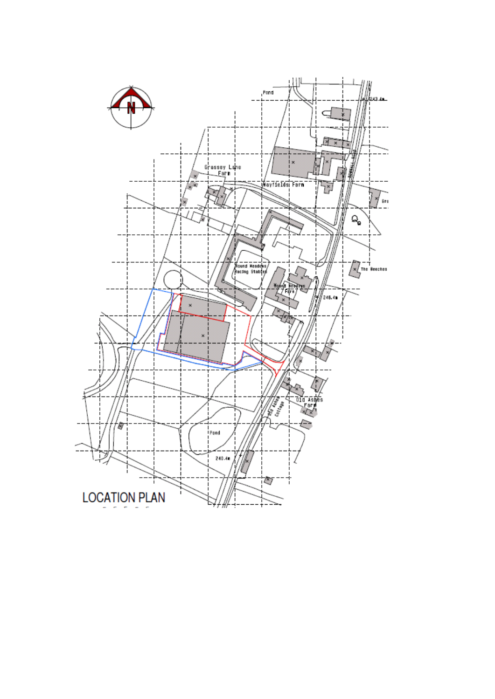